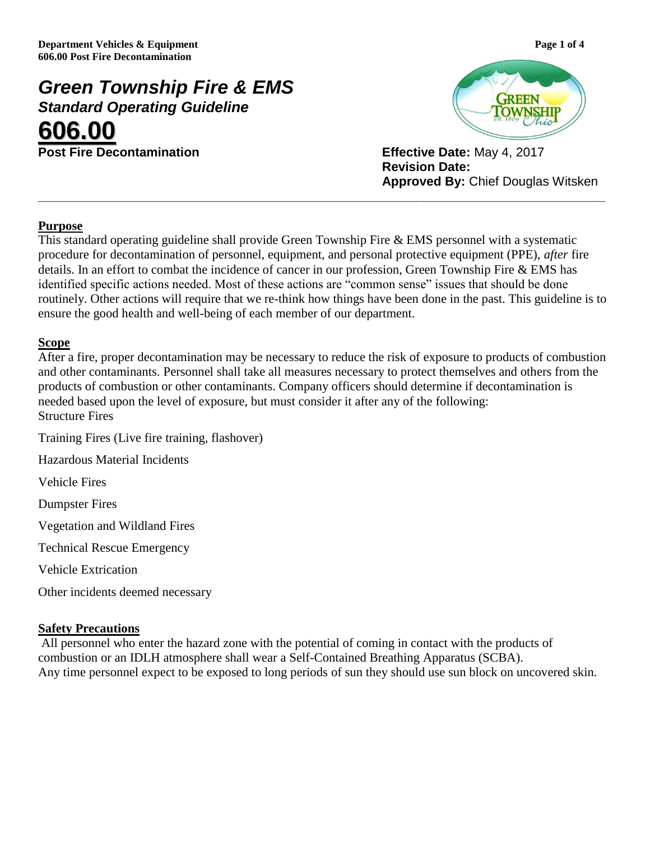# *Green Township Fire & EMS Standard Operating Guideline* **606.00**

**Post Fire Decontamination Effective Date:** May 4, 2017



**Revision Date: Approved By:** Chief Douglas Witsken

## **Purpose**

This standard operating guideline shall provide Green Township Fire & EMS personnel with a systematic procedure for decontamination of personnel, equipment, and personal protective equipment (PPE), *after* fire details. In an effort to combat the incidence of cancer in our profession, Green Township Fire & EMS has identified specific actions needed. Most of these actions are "common sense" issues that should be done routinely. Other actions will require that we re-think how things have been done in the past. This guideline is to ensure the good health and well-being of each member of our department.

**\_\_\_\_\_\_\_\_\_\_\_\_\_\_\_\_\_\_\_\_\_\_\_\_\_\_\_\_\_\_\_\_\_\_\_\_\_\_\_\_\_\_\_\_\_\_\_\_\_\_\_\_\_\_\_\_\_\_\_\_\_\_\_\_\_\_\_\_\_\_\_\_\_\_\_\_\_\_\_\_**

## **Scope**

After a fire, proper decontamination may be necessary to reduce the risk of exposure to products of combustion and other contaminants. Personnel shall take all measures necessary to protect themselves and others from the products of combustion or other contaminants. Company officers should determine if decontamination is needed based upon the level of exposure, but must consider it after any of the following: Structure Fires

Training Fires (Live fire training, flashover)

Hazardous Material Incidents

Vehicle Fires

Dumpster Fires

Vegetation and Wildland Fires

Technical Rescue Emergency

Vehicle Extrication

Other incidents deemed necessary

### **Safety Precautions**

All personnel who enter the hazard zone with the potential of coming in contact with the products of combustion or an IDLH atmosphere shall wear a Self-Contained Breathing Apparatus (SCBA). Any time personnel expect to be exposed to long periods of sun they should use sun block on uncovered skin.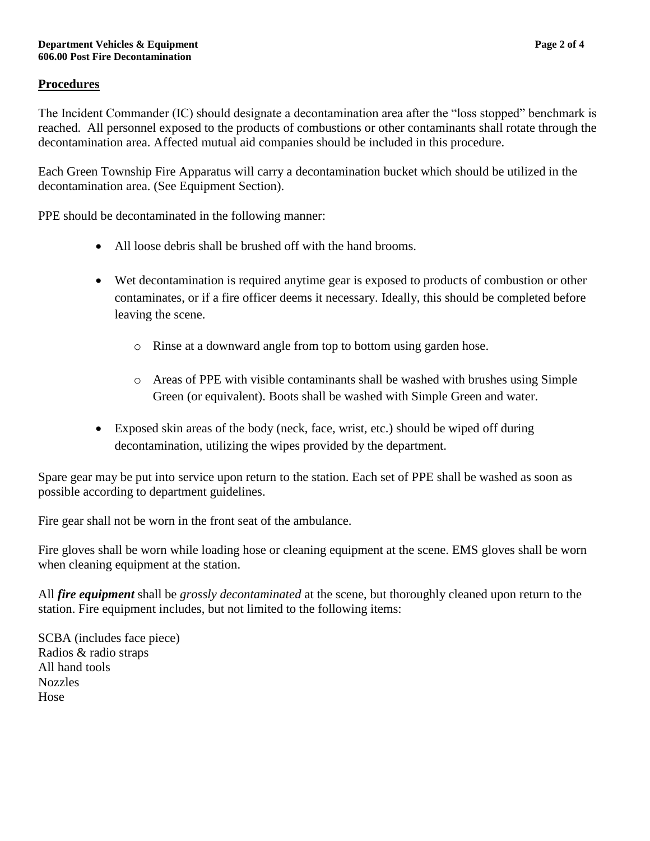# **Procedures**

The Incident Commander (IC) should designate a decontamination area after the "loss stopped" benchmark is reached. All personnel exposed to the products of combustions or other contaminants shall rotate through the decontamination area. Affected mutual aid companies should be included in this procedure.

Each Green Township Fire Apparatus will carry a decontamination bucket which should be utilized in the decontamination area. (See Equipment Section).

PPE should be decontaminated in the following manner:

- All loose debris shall be brushed off with the hand brooms.
- Wet decontamination is required anytime gear is exposed to products of combustion or other contaminates, or if a fire officer deems it necessary. Ideally, this should be completed before leaving the scene.
	- o Rinse at a downward angle from top to bottom using garden hose.
	- o Areas of PPE with visible contaminants shall be washed with brushes using Simple Green (or equivalent). Boots shall be washed with Simple Green and water.
- Exposed skin areas of the body (neck, face, wrist, etc.) should be wiped off during decontamination, utilizing the wipes provided by the department.

Spare gear may be put into service upon return to the station. Each set of PPE shall be washed as soon as possible according to department guidelines.

Fire gear shall not be worn in the front seat of the ambulance.

Fire gloves shall be worn while loading hose or cleaning equipment at the scene. EMS gloves shall be worn when cleaning equipment at the station.

All *fire equipment* shall be *grossly decontaminated* at the scene, but thoroughly cleaned upon return to the station. Fire equipment includes, but not limited to the following items:

SCBA (includes face piece) Radios & radio straps All hand tools Nozzles Hose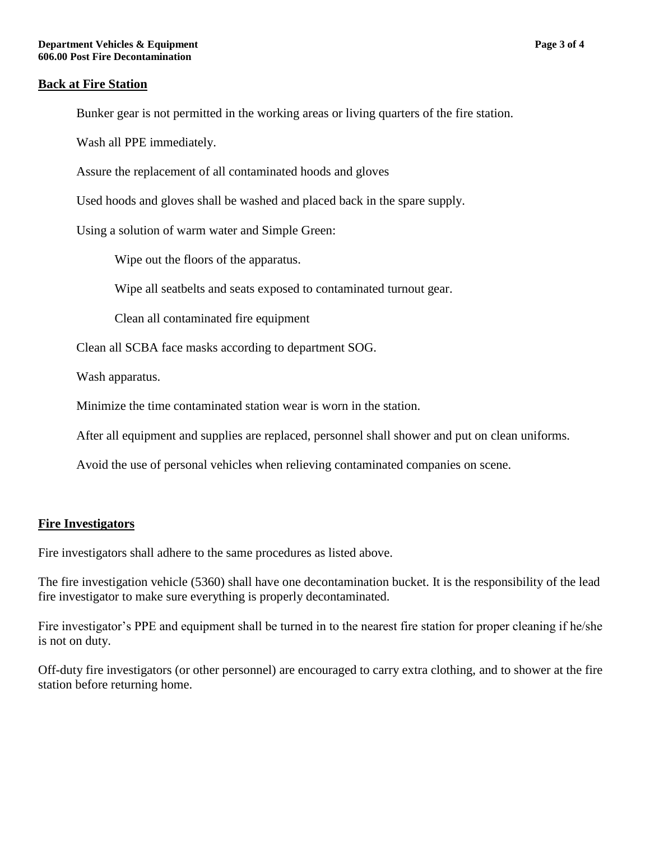#### **Back at Fire Station**

Bunker gear is not permitted in the working areas or living quarters of the fire station.

Wash all PPE immediately.

Assure the replacement of all contaminated hoods and gloves

Used hoods and gloves shall be washed and placed back in the spare supply.

Using a solution of warm water and Simple Green:

Wipe out the floors of the apparatus.

Wipe all seatbelts and seats exposed to contaminated turnout gear.

Clean all contaminated fire equipment

Clean all SCBA face masks according to department SOG.

Wash apparatus.

Minimize the time contaminated station wear is worn in the station.

After all equipment and supplies are replaced, personnel shall shower and put on clean uniforms.

Avoid the use of personal vehicles when relieving contaminated companies on scene.

### **Fire Investigators**

Fire investigators shall adhere to the same procedures as listed above.

The fire investigation vehicle (5360) shall have one decontamination bucket. It is the responsibility of the lead fire investigator to make sure everything is properly decontaminated.

Fire investigator's PPE and equipment shall be turned in to the nearest fire station for proper cleaning if he/she is not on duty.

Off-duty fire investigators (or other personnel) are encouraged to carry extra clothing, and to shower at the fire station before returning home.